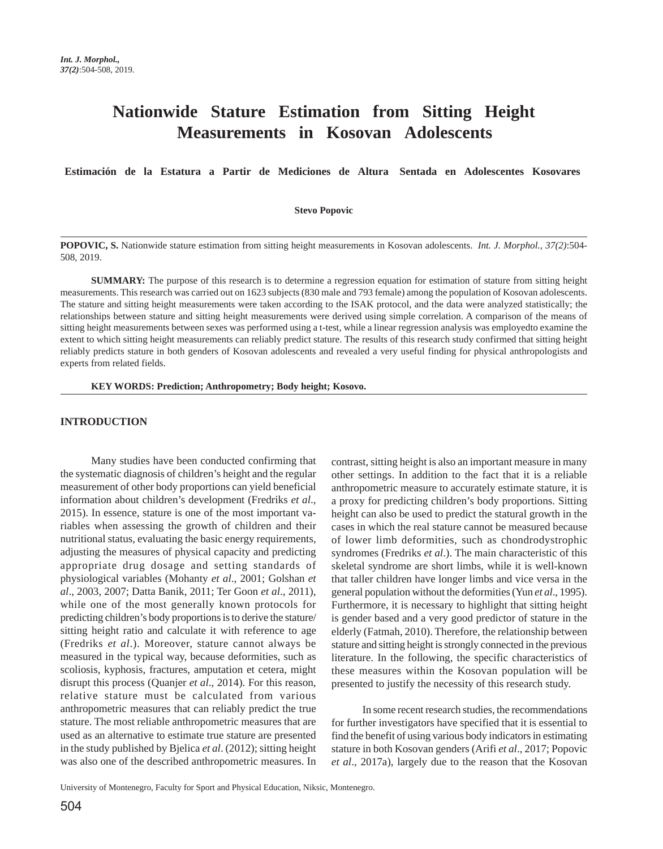# **Nationwide Stature Estimation from Sitting Height Measurements in Kosovan Adolescents**

**Estimación de la Estatura a Partir de Mediciones de Altura Sentada en Adolescentes Kosovares**

#### **Stevo Popovic**

**POPOVIC, S.** Nationwide stature estimation from sitting height measurements in Kosovan adolescents. *Int. J. Morphol., 37(2)*:504- 508, 2019.

**SUMMARY:** The purpose of this research is to determine a regression equation for estimation of stature from sitting height measurements. This research was carried out on 1623 subjects (830 male and 793 female) among the population of Kosovan adolescents. The stature and sitting height measurements were taken according to the ISAK protocol, and the data were analyzed statistically; the relationships between stature and sitting height measurements were derived using simple correlation. A comparison of the means of sitting height measurements between sexes was performed using a t-test, while a linear regression analysis was employedto examine the extent to which sitting height measurements can reliably predict stature. The results of this research study confirmed that sitting height reliably predicts stature in both genders of Kosovan adolescents and revealed a very useful finding for physical anthropologists and experts from related fields.

**KEY WORDS: Prediction; Anthropometry; Body height; Kosovo.**

## **INTRODUCTION**

Many studies have been conducted confirming that the systematic diagnosis of children's height and the regular measurement of other body proportions can yield beneficial information about children's development (Fredriks *et al*., 2015). In essence, stature is one of the most important variables when assessing the growth of children and their nutritional status, evaluating the basic energy requirements, adjusting the measures of physical capacity and predicting appropriate drug dosage and setting standards of physiological variables (Mohanty *et al*., 2001; Golshan *et al*., 2003, 2007; Datta Banik, 2011; Ter Goon *et al*., 2011), while one of the most generally known protocols for predicting children's body proportions is to derive the stature/ sitting height ratio and calculate it with reference to age (Fredriks *et al*.). Moreover, stature cannot always be measured in the typical way, because deformities, such as scoliosis, kyphosis, fractures, amputation et cetera, might disrupt this process (Quanjer *et al*., 2014). For this reason, relative stature must be calculated from various anthropometric measures that can reliably predict the true stature. The most reliable anthropometric measures that are used as an alternative to estimate true stature are presented in the study published by Bjelica *et al*. (2012); sitting height was also one of the described anthropometric measures. In

contrast, sitting height is also an important measure in many other settings. In addition to the fact that it is a reliable anthropometric measure to accurately estimate stature, it is a proxy for predicting children's body proportions. Sitting height can also be used to predict the statural growth in the cases in which the real stature cannot be measured because of lower limb deformities, such as chondrodystrophic syndromes (Fredriks *et al*.). The main characteristic of this skeletal syndrome are short limbs, while it is well-known that taller children have longer limbs and vice versa in the general population without the deformities (Yun *et al*., 1995). Furthermore, it is necessary to highlight that sitting height is gender based and a very good predictor of stature in the elderly (Fatmah, 2010). Therefore, the relationship between stature and sitting height is strongly connected in the previous literature. In the following, the specific characteristics of these measures within the Kosovan population will be presented to justify the necessity of this research study.

In some recent research studies, the recommendations for further investigators have specified that it is essential to find the benefit of using various body indicators in estimating stature in both Kosovan genders (Arifi *et al*., 2017; Popovic *et al*., 2017a), largely due to the reason that the Kosovan

University of Montenegro, Faculty for Sport and Physical Education, Niksic, Montenegro.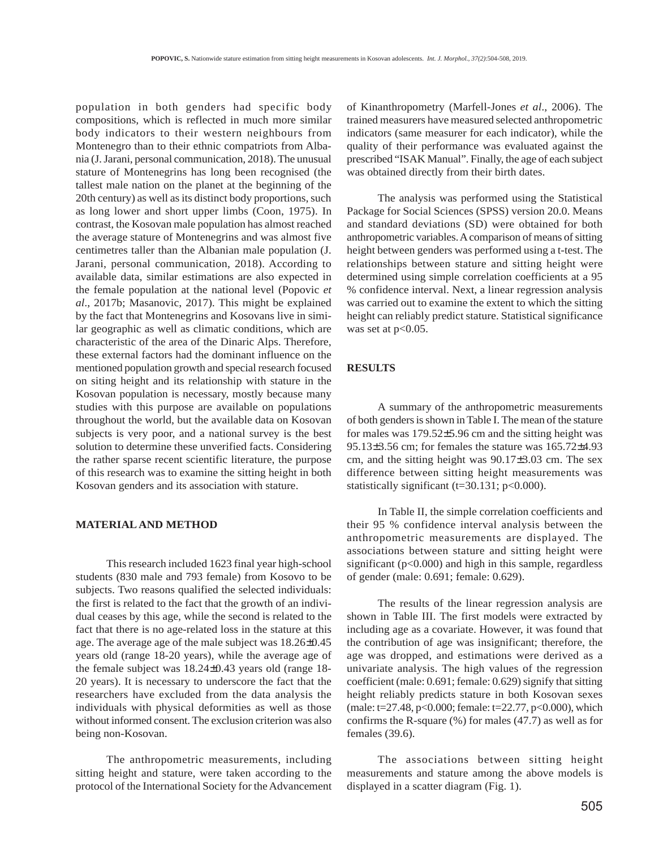population in both genders had specific body compositions, which is reflected in much more similar body indicators to their western neighbours from Montenegro than to their ethnic compatriots from Albania (J. Jarani, personal communication, 2018). The unusual stature of Montenegrins has long been recognised (the tallest male nation on the planet at the beginning of the 20th century) as well as its distinct body proportions, such as long lower and short upper limbs (Coon, 1975). In contrast, the Kosovan male population has almost reached the average stature of Montenegrins and was almost five centimetres taller than the Albanian male population (J. Jarani, personal communication, 2018). According to available data, similar estimations are also expected in the female population at the national level (Popovic *et al*., 2017b; Masanovic, 2017). This might be explained by the fact that Montenegrins and Kosovans live in similar geographic as well as climatic conditions, which are characteristic of the area of the Dinaric Alps. Therefore, these external factors had the dominant influence on the mentioned population growth and special research focused on siting height and its relationship with stature in the Kosovan population is necessary, mostly because many studies with this purpose are available on populations throughout the world, but the available data on Kosovan subjects is very poor, and a national survey is the best solution to determine these unverified facts. Considering the rather sparse recent scientific literature, the purpose of this research was to examine the sitting height in both Kosovan genders and its association with stature.

# **MATERIAL AND METHOD**

This research included 1623 final year high-school students (830 male and 793 female) from Kosovo to be subjects. Two reasons qualified the selected individuals: the first is related to the fact that the growth of an individual ceases by this age, while the second is related to the fact that there is no age-related loss in the stature at this age. The average age of the male subject was 18.26±0.45 years old (range 18-20 years), while the average age of the female subject was 18.24±0.43 years old (range 18- 20 years). It is necessary to underscore the fact that the researchers have excluded from the data analysis the individuals with physical deformities as well as those without informed consent. The exclusion criterion was also being non-Kosovan.

The anthropometric measurements, including sitting height and stature, were taken according to the protocol of the International Society for the Advancement of Kinanthropometry (Marfell-Jones *et al*., 2006). The trained measurers have measured selected anthropometric indicators (same measurer for each indicator), while the quality of their performance was evaluated against the prescribed "ISAK Manual". Finally, the age of each subject was obtained directly from their birth dates.

The analysis was performed using the Statistical Package for Social Sciences (SPSS) version 20.0. Means and standard deviations (SD) were obtained for both anthropometric variables. A comparison of means of sitting height between genders was performed using a t-test. The relationships between stature and sitting height were determined using simple correlation coefficients at a 95 % confidence interval. Next, a linear regression analysis was carried out to examine the extent to which the sitting height can reliably predict stature. Statistical significance was set at  $p<0.05$ .

### **RESULTS**

A summary of the anthropometric measurements of both genders is shown in Table I. The mean of the stature for males was 179.52±5.96 cm and the sitting height was 95.13±3.56 cm; for females the stature was 165.72±4.93 cm, and the sitting height was 90.17±3.03 cm. The sex difference between sitting height measurements was statistically significant ( $t=30.131$ ;  $p<0.000$ ).

In Table II, the simple correlation coefficients and their 95 % confidence interval analysis between the anthropometric measurements are displayed. The associations between stature and sitting height were significant ( $p<0.000$ ) and high in this sample, regardless of gender (male: 0.691; female: 0.629).

The results of the linear regression analysis are shown in Table III. The first models were extracted by including age as a covariate. However, it was found that the contribution of age was insignificant; therefore, the age was dropped, and estimations were derived as a univariate analysis. The high values of the regression coefficient (male: 0.691; female: 0.629) signify that sitting height reliably predicts stature in both Kosovan sexes (male: t=27.48, p<0.000; female: t=22.77, p<0.000), which confirms the R-square (%) for males (47.7) as well as for females (39.6).

The associations between sitting height measurements and stature among the above models is displayed in a scatter diagram (Fig. 1).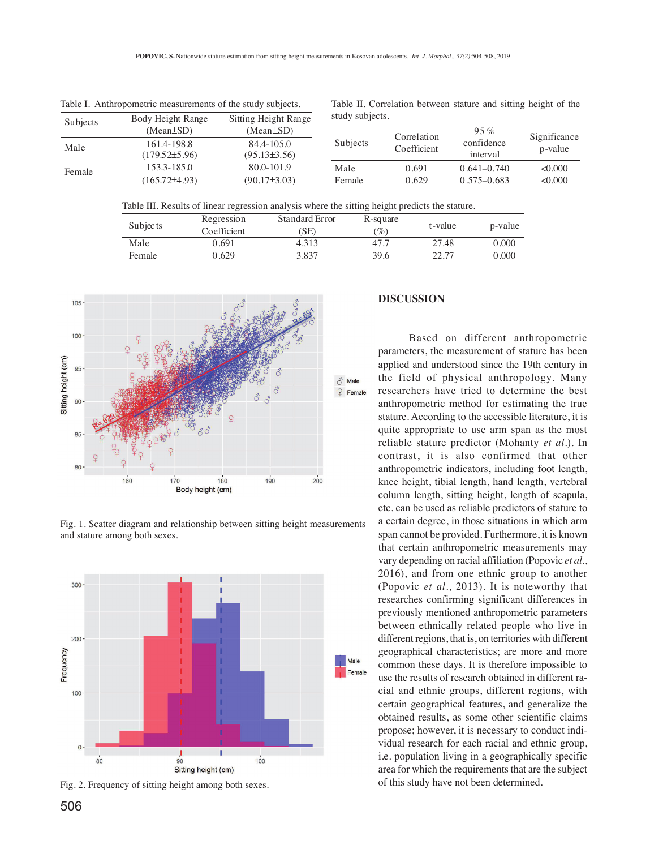| Subjects | Sitting Height Range<br>Body Height Range |                                  | study subjects. |                |                                    |                   |
|----------|-------------------------------------------|----------------------------------|-----------------|----------------|------------------------------------|-------------------|
|          | (Mean±SD)                                 | (Mean±SD)                        |                 | Correlation    | $95\%$                             | Significance      |
| Male     | 161.4-198.8<br>$(179.52 \pm 5.96)$        | 84.4-105.0<br>$(95.13\pm3.56)$   | Subjects        | Coefficient    | confidence<br>interval             | p-value           |
| Female   | 153.3-185.0<br>$(165.72 \pm 4.93)$        | 80.0-101.9<br>$(90.17 \pm 3.03)$ | Male<br>Female  | 0.691<br>0.629 | $0.641 - 0.740$<br>$0.575 - 0.683$ | < 0.000<br><0.000 |

Table I. Anthropometric measurements of the study subjects. Table II. Correlation between stature and sitting height of the

Table III. Results of linear regression analysis where the sitting height predicts the stature.

| Subjects | Regression<br>Coefficient | Standard Error<br>SE). | R-square<br>$\%$ | t-value | p-value |
|----------|---------------------------|------------------------|------------------|---------|---------|
| Male     | ).691                     | 4.313                  | 47.7             | 27.48   | 0.000   |
| Female   | 629.                      | 3.837                  | 39.6             | 22.77   | 0.000   |



Fig. 1. Scatter diagram and relationship between sitting height measurements and stature among both sexes.



# **DISCUSSION**

Based on different anthropometric parameters, the measurement of stature has been applied and understood since the 19th century in the field of physical anthropology. Many researchers have tried to determine the best anthropometric method for estimating the true stature. According to the accessible literature, it is quite appropriate to use arm span as the most reliable stature predictor (Mohanty *et al*.). In contrast, it is also confirmed that other anthropometric indicators, including foot length, knee height, tibial length, hand length, vertebral column length, sitting height, length of scapula, etc. can be used as reliable predictors of stature to a certain degree, in those situations in which arm span cannot be provided. Furthermore, it is known that certain anthropometric measurements may vary depending on racial affiliation (Popovic *et al*., 2016), and from one ethnic group to another (Popovic *et al*., 2013). It is noteworthy that researches confirming significant differences in previously mentioned anthropometric parameters between ethnically related people who live in different regions, that is, on territories with different geographical characteristics; are more and more common these days. It is therefore impossible to use the results of research obtained in different racial and ethnic groups, different regions, with certain geographical features, and generalize the obtained results, as some other scientific claims propose; however, it is necessary to conduct individual research for each racial and ethnic group, i.e. population living in a geographically specific area for which the requirements that are the subject Fig. 2. Frequency of sitting height among both sexes. of this study have not been determined.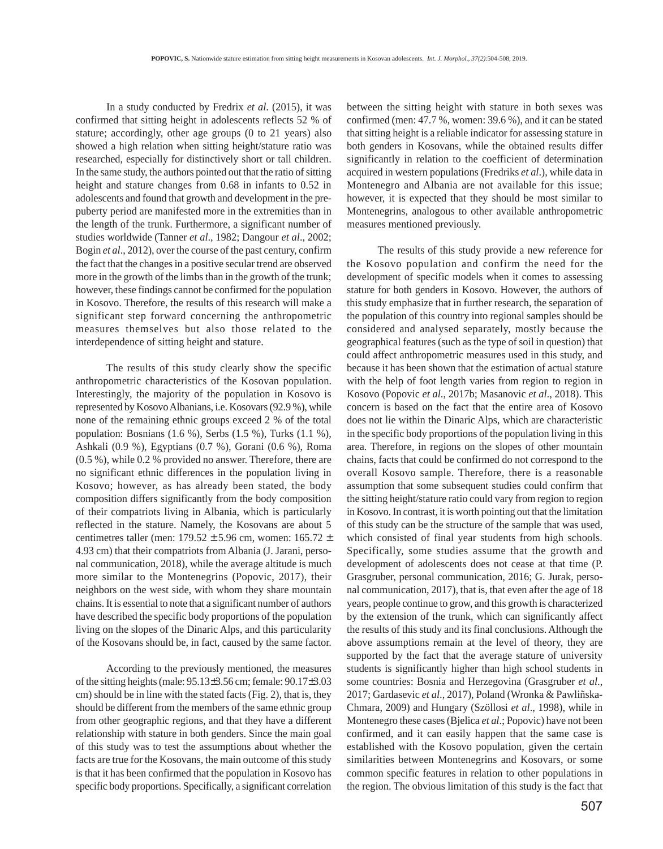In a study conducted by Fredrix *et al*. (2015), it was confirmed that sitting height in adolescents reflects 52 % of stature; accordingly, other age groups (0 to 21 years) also showed a high relation when sitting height/stature ratio was researched, especially for distinctively short or tall children. In the same study, the authors pointed out that the ratio of sitting height and stature changes from 0.68 in infants to 0.52 in adolescents and found that growth and development in the prepuberty period are manifested more in the extremities than in the length of the trunk. Furthermore, a significant number of studies worldwide (Tanner *et al*., 1982; Dangour *et al*., 2002; Bogin *et al*., 2012), over the course of the past century, confirm the fact that the changes in a positive secular trend are observed more in the growth of the limbs than in the growth of the trunk; however, these findings cannot be confirmed for the population in Kosovo. Therefore, the results of this research will make a significant step forward concerning the anthropometric measures themselves but also those related to the interdependence of sitting height and stature.

The results of this study clearly show the specific anthropometric characteristics of the Kosovan population. Interestingly, the majority of the population in Kosovo is represented by Kosovo Albanians, i.e. Kosovars (92.9 %), while none of the remaining ethnic groups exceed 2 % of the total population: Bosnians (1.6 %), Serbs (1.5 %), Turks (1.1 %), Ashkali (0.9 %), Egyptians (0.7 %), Gorani (0.6 %), Roma (0.5 %), while 0.2 % provided no answer. Therefore, there are no significant ethnic differences in the population living in Kosovo; however, as has already been stated, the body composition differs significantly from the body composition of their compatriots living in Albania, which is particularly reflected in the stature. Namely, the Kosovans are about 5 centimetres taller (men:  $179.52 \pm 5.96$  cm, women:  $165.72 \pm$ 4.93 cm) that their compatriots from Albania (J. Jarani, personal communication, 2018), while the average altitude is much more similar to the Montenegrins (Popovic, 2017), their neighbors on the west side, with whom they share mountain chains. It is essential to note that a significant number of authors have described the specific body proportions of the population living on the slopes of the Dinaric Alps, and this particularity of the Kosovans should be, in fact, caused by the same factor.

According to the previously mentioned, the measures of the sitting heights (male: 95.13±3.56 cm; female: 90.17±3.03 cm) should be in line with the stated facts (Fig. 2), that is, they should be different from the members of the same ethnic group from other geographic regions, and that they have a different relationship with stature in both genders. Since the main goal of this study was to test the assumptions about whether the facts are true for the Kosovans, the main outcome of this study is that it has been confirmed that the population in Kosovo has specific body proportions. Specifically, a significant correlation

between the sitting height with stature in both sexes was confirmed (men: 47.7 %, women: 39.6 %), and it can be stated that sitting height is a reliable indicator for assessing stature in both genders in Kosovans, while the obtained results differ significantly in relation to the coefficient of determination acquired in western populations (Fredriks *et al*.), while data in Montenegro and Albania are not available for this issue; however, it is expected that they should be most similar to Montenegrins, analogous to other available anthropometric measures mentioned previously.

The results of this study provide a new reference for the Kosovo population and confirm the need for the development of specific models when it comes to assessing stature for both genders in Kosovo. However, the authors of this study emphasize that in further research, the separation of the population of this country into regional samples should be considered and analysed separately, mostly because the geographical features (such as the type of soil in question) that could affect anthropometric measures used in this study, and because it has been shown that the estimation of actual stature with the help of foot length varies from region to region in Kosovo (Popovic *et al*., 2017b; Masanovic *et al*., 2018). This concern is based on the fact that the entire area of Kosovo does not lie within the Dinaric Alps, which are characteristic in the specific body proportions of the population living in this area. Therefore, in regions on the slopes of other mountain chains, facts that could be confirmed do not correspond to the overall Kosovo sample. Therefore, there is a reasonable assumption that some subsequent studies could confirm that the sitting height/stature ratio could vary from region to region in Kosovo. In contrast, it is worth pointing out that the limitation of this study can be the structure of the sample that was used, which consisted of final year students from high schools. Specifically, some studies assume that the growth and development of adolescents does not cease at that time (P. Grasgruber, personal communication, 2016; G. Jurak, personal communication, 2017), that is, that even after the age of 18 years, people continue to grow, and this growth is characterized by the extension of the trunk, which can significantly affect the results of this study and its final conclusions. Although the above assumptions remain at the level of theory, they are supported by the fact that the average stature of university students is significantly higher than high school students in some countries: Bosnia and Herzegovina (Grasgruber *et al*., 2017; Gardasevic *et al*., 2017), Poland (Wronka & Pawliñska-Chmara, 2009) and Hungary (Szöllosi *et al*., 1998), while in Montenegro these cases (Bjelica *et al*.; Popovic) have not been confirmed, and it can easily happen that the same case is established with the Kosovo population, given the certain similarities between Montenegrins and Kosovars, or some common specific features in relation to other populations in the region. The obvious limitation of this study is the fact that